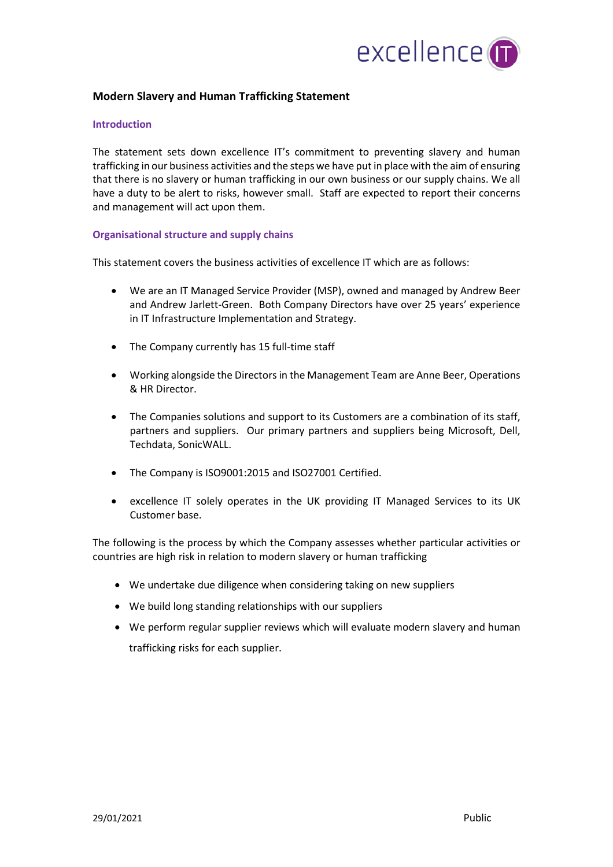

## **Modern Slavery and Human Trafficking Statement**

## **Introduction**

The statement sets down excellence IT's commitment to preventing slavery and human trafficking in our business activities and the steps we have put in place with the aim of ensuring that there is no slavery or human trafficking in our own business or our supply chains. We all have a duty to be alert to risks, however small. Staff are expected to report their concerns and management will act upon them.

## **Organisational structure and supply chains**

This statement covers the business activities of excellence IT which are as follows:

- We are an IT Managed Service Provider (MSP), owned and managed by Andrew Beer and Andrew Jarlett-Green. Both Company Directors have over 25 years' experience in IT Infrastructure Implementation and Strategy.
- The Company currently has 15 full-time staff
- Working alongside the Directorsin the Management Team are Anne Beer, Operations & HR Director.
- The Companies solutions and support to its Customers are a combination of its staff, partners and suppliers. Our primary partners and suppliers being Microsoft, Dell, Techdata, SonicWALL.
- The Company is ISO9001:2015 and ISO27001 Certified.
- excellence IT solely operates in the UK providing IT Managed Services to its UK Customer base.

The following is the process by which the Company assesses whether particular activities or countries are high risk in relation to modern slavery or human trafficking

- We undertake due diligence when considering taking on new suppliers
- We build long standing relationships with our suppliers
- We perform regular supplier reviews which will evaluate modern slavery and human trafficking risks for each supplier.